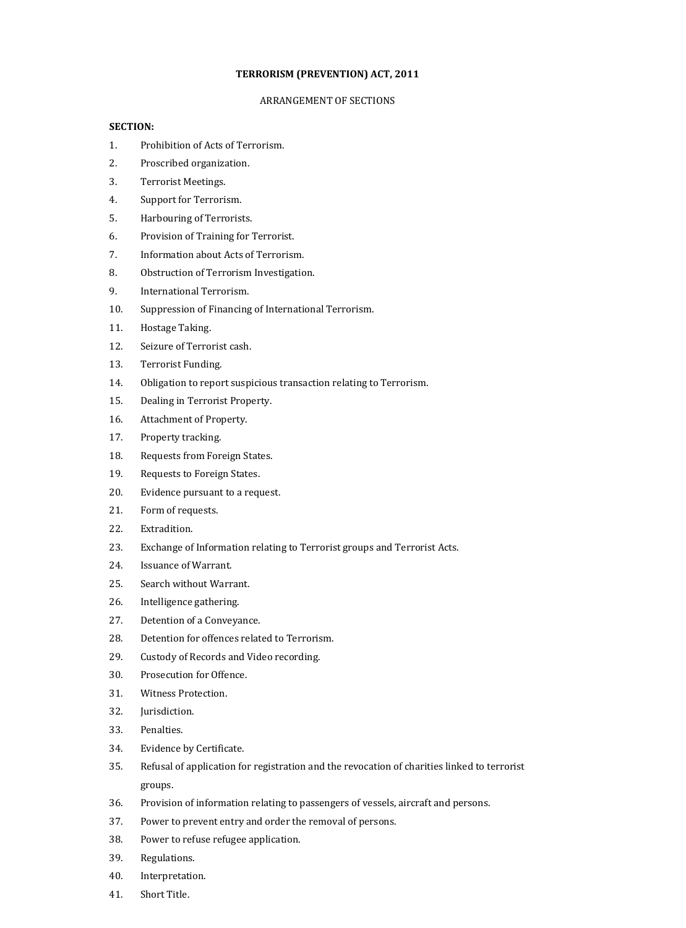#### **TERRORISM (PREVENTION) ACT, 2011**

#### ARRANGEMENT OF SECTIONS

#### **SECTION:**

- 1. Prohibition of Acts of Terrorism.
- 2. Proscribed organization.
- 3. Terrorist Meetings.
- 4. Support for Terrorism.
- 5. Harbouring of Terrorists.
- 6. Provision of Training for Terrorist.
- 7. Information about Acts of Terrorism.
- 8. Obstruction of Terrorism Investigation.
- 9. International Terrorism.
- 10. Suppression of Financing of International Terrorism.
- 11. Hostage Taking.
- 12. Seizure of Terrorist cash.
- 13. Terrorist Funding.
- 14. Obligation to report suspicious transaction relating to Terrorism.
- 15. Dealing in Terrorist Property.
- 16. Attachment of Property.
- 17. Property tracking.
- 18. Requests from Foreign States.
- 19. Requests to Foreign States.
- 20. Evidence pursuant to a request.
- 21. Form of requests.
- 22. Extradition.
- 23. Exchange of Information relating to Terrorist groups and Terrorist Acts.
- 24. Issuance of Warrant.
- 25. Search without Warrant.
- 26. Intelligence gathering.
- 27. Detention of a Conveyance.
- 28. Detention for offences related to Terrorism.
- 29. Custody of Records and Video recording.
- 30. Prosecution for Offence.
- 31. Witness Protection.
- 32. Jurisdiction.
- 33. Penalties.
- 34. Evidence by Certificate.
- 35. Refusal of application for registration and the revocation of charities linked to terrorist groups.
- 36. Provision of information relating to passengers of vessels, aircraft and persons.
- 37. Power to prevent entry and order the removal of persons.
- 38. Power to refuse refugee application.
- 39. Regulations.
- 40. Interpretation.
- 41. Short Title.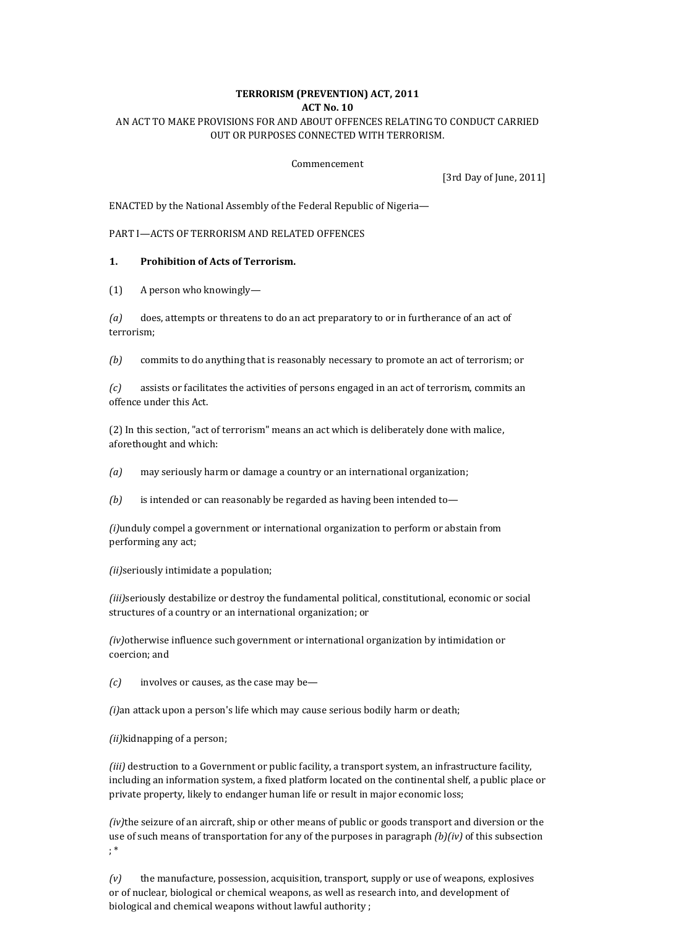## **TERRORISM (PREVENTION) ACT, 2011 ACT No. 10** AN ACT TO MAKE PROVISIONS FOR AND ABOUT OFFENCES RELATING TO CONDUCT CARRIED OUT OR PURPOSES CONNECTED WITH TERRORISM.

Commencement

[3rd Day of June, 2011]

ENACTED by the National Assembly of the Federal Republic of Nigeria—

PART I—ACTS OF TERRORISM AND RELATED OFFENCES

#### **1. Prohibition of Acts of Terrorism.**

(1) A person who knowingly—

*(a)* does, attempts or threatens to do an act preparatory to or in furtherance of an act of terrorism;

*(b)* commits to do anything that is reasonably necessary to promote an act of terrorism; or

*(c)* assists or facilitates the activities of persons engaged in an act of terrorism, commits an offence under this Act.

(2) In this section, "act of terrorism" means an act which is deliberately done with malice, aforethought and which:

*(a)* may seriously harm or damage a country or an international organization;

*(b)* is intended or can reasonably be regarded as having been intended to—

*(i)*unduly compel a government or international organization to perform or abstain from performing any act;

*(ii)*seriously intimidate a population;

*(iii)*seriously destabilize or destroy the fundamental political, constitutional, economic or social structures of a country or an international organization; or

*(iv)*otherwise influence such government or international organization by intimidation or coercion; and

*(c)* involves or causes, as the case may be—

*(i)*an attack upon a person's life which may cause serious bodily harm or death;

*(ii)*kidnapping of a person;

*(iii)* destruction to a Government or public facility, a transport system, an infrastructure facility, including an information system, a fixed platform located on the continental shelf, a public place or private property, likely to endanger human life or result in major economic loss;

*(iv)*the seizure of an aircraft, ship or other means of public or goods transport and diversion or the use of such means of transportation for any of the purposes in paragraph *(b)(iv)* of this subsection ; \*

*(v)* the manufacture, possession, acquisition, transport, supply or use of weapons, explosives or of nuclear, biological or chemical weapons, as well as research into, and development of biological and chemical weapons without lawful authority ;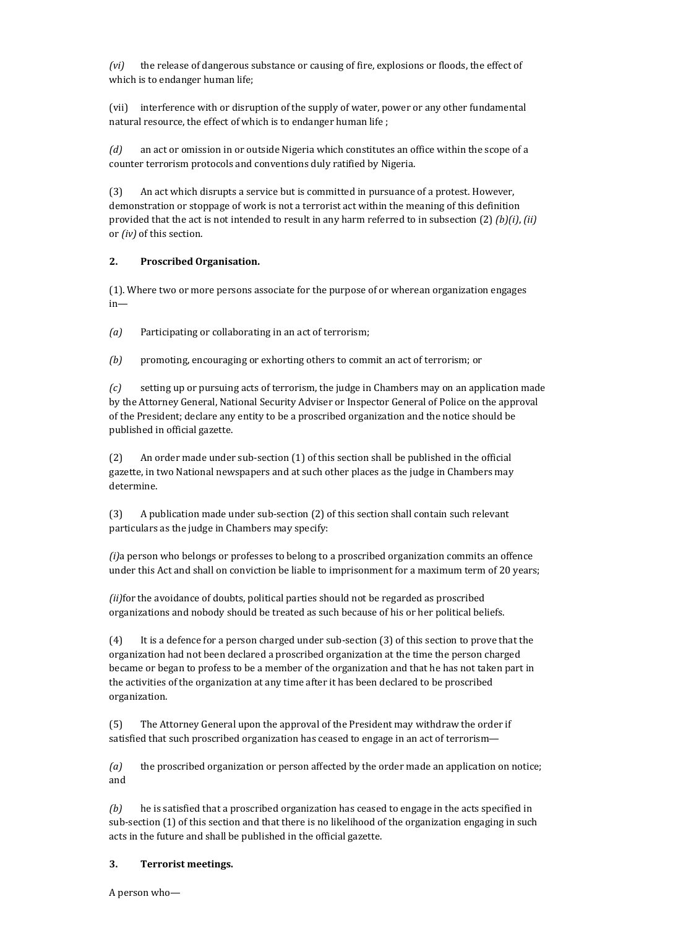*(vi)* the release of dangerous substance or causing of fire, explosions or floods, the effect of which is to endanger human life;

(vii) interference with or disruption of the supply of water, power or any other fundamental natural resource, the effect of which is to endanger human life ;

*(d)* an act or omission in or outside Nigeria which constitutes an office within the scope of a counter terrorism protocols and conventions duly ratified by Nigeria.

(3) An act which disrupts a service but is committed in pursuance of a protest. However, demonstration or stoppage of work is not a terrorist act within the meaning of this definition provided that the act is not intended to result in any harm referred to in subsection (2) *(b)(i)*, *(ii)* or *(iv)* of this section.

## **2. Proscribed Organisation.**

(1). Where two or more persons associate for the purpose of or wherean organization engages in—

*(a)* Participating or collaborating in an act of terrorism;

*(b)* promoting, encouraging or exhorting others to commit an act of terrorism; or

*(c)* setting up or pursuing acts of terrorism, the judge in Chambers may on an application made by the Attorney General, National Security Adviser or Inspector General of Police on the approval of the President; declare any entity to be a proscribed organization and the notice should be published in official gazette.

(2) An order made under sub-section (1) of this section shall be published in the official gazette, in two National newspapers and at such other places as the judge in Chambers may determine.

(3) A publication made under sub-section (2) of this section shall contain such relevant particulars as the judge in Chambers may specify:

*(i)*a person who belongs or professes to belong to a proscribed organization commits an offence under this Act and shall on conviction be liable to imprisonment for a maximum term of 20 years;

*(ii)*for the avoidance of doubts, political parties should not be regarded as proscribed organizations and nobody should be treated as such because of his or her political beliefs.

(4) It is a defence for a person charged under sub-section (3) of this section to prove that the organization had not been declared a proscribed organization at the time the person charged became or began to profess to be a member of the organization and that he has not taken part in the activities of the organization at any time after it has been declared to be proscribed organization.

(5) The Attorney General upon the approval of the President may withdraw the order if satisfied that such proscribed organization has ceased to engage in an act of terrorism—

*(a)* the proscribed organization or person affected by the order made an application on notice; and

*(b)* he is satisfied that a proscribed organization has ceased to engage in the acts specified in sub-section (1) of this section and that there is no likelihood of the organization engaging in such acts in the future and shall be published in the official gazette.

## **3. Terrorist meetings.**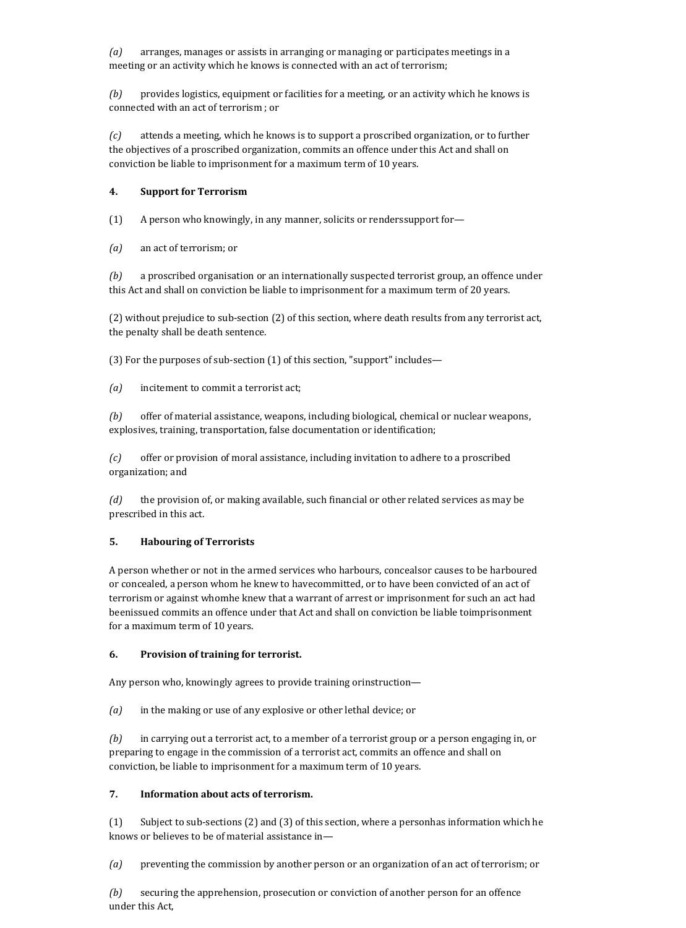*(a)* arranges, manages or assists in arranging or managing or participates meetings in a meeting or an activity which he knows is connected with an act of terrorism;

*(b)* provides logistics, equipment or facilities for a meeting, or an activity which he knows is connected with an act of terrorism ; or

*(c)* attends a meeting, which he knows is to support a proscribed organization, or to further the objectives of a proscribed organization, commits an offence under this Act and shall on conviction be liable to imprisonment for a maximum term of 10 years.

## **4. Support for Terrorism**

(1) A person who knowingly, in any manner, solicits or renderssupport for—

*(a)* an act of terrorism; or

*(b)* a proscribed organisation or an internationally suspected terrorist group, an offence under this Act and shall on conviction be liable to imprisonment for a maximum term of 20 years.

(2) without prejudice to sub-section (2) of this section, where death results from any terrorist act, the penalty shall be death sentence.

(3) For the purposes of sub-section (1) of this section, "support" includes—

*(a)* incitement to commit a terrorist act;

*(b)* offer of material assistance, weapons, including biological, chemical or nuclear weapons, explosives, training, transportation, false documentation or identification;

*(c)* offer or provision of moral assistance, including invitation to adhere to a proscribed organization; and

*(d)* the provision of, or making available, such financial or other related services as may be prescribed in this act.

## **5. Habouring of Terrorists**

A person whether or not in the armed services who harbours, concealsor causes to be harboured or concealed, a person whom he knew to havecommitted, or to have been convicted of an act of terrorism or against whomhe knew that a warrant of arrest or imprisonment for such an act had beenissued commits an offence under that Act and shall on conviction be liable toimprisonment for a maximum term of 10 years.

**6. Provision of training for terrorist.**

Any person who, knowingly agrees to provide training orinstruction—

*(a)* in the making or use of any explosive or other lethal device; or

*(b)* in carrying out a terrorist act, to a member of a terrorist group or a person engaging in, or preparing to engage in the commission of a terrorist act, commits an offence and shall on conviction, be liable to imprisonment for a maximum term of 10 years.

## **7. Information about acts of terrorism.**

(1) Subject to sub-sections (2) and (3) of this section, where a personhas information which he knows or believes to be of material assistance in—

*(a)* preventing the commission by another person or an organization of an act of terrorism; or

*(b)* securing the apprehension, prosecution or conviction of another person for an offence under this Act,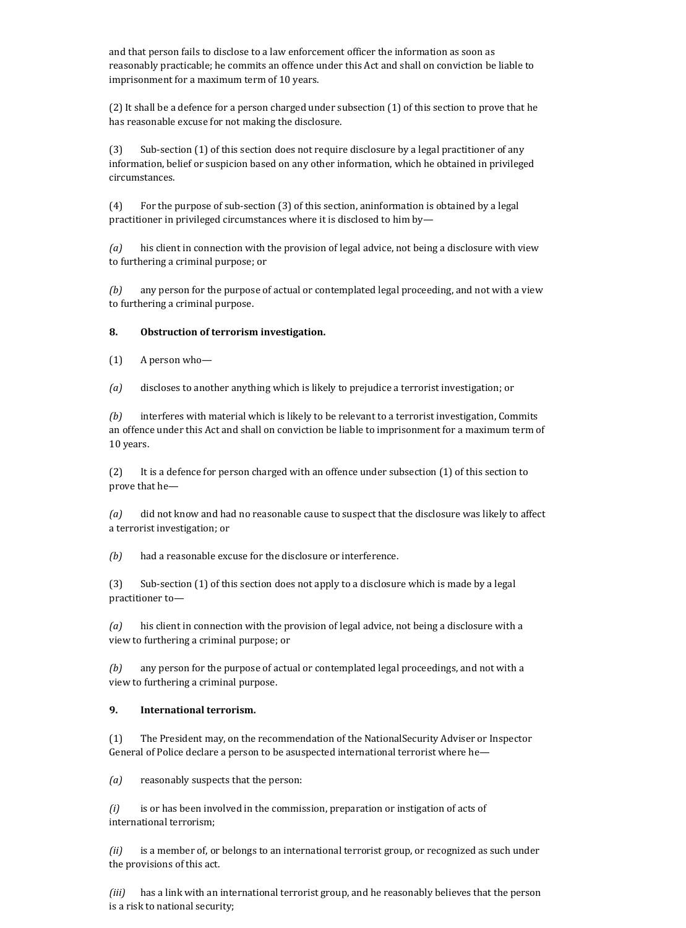and that person fails to disclose to a law enforcement officer the information as soon as reasonably practicable; he commits an offence under this Act and shall on conviction be liable to imprisonment for a maximum term of 10 years.

(2) It shall be a defence for a person charged under subsection (1) of this section to prove that he has reasonable excuse for not making the disclosure.

(3) Sub-section (1) of this section does not require disclosure by a legal practitioner of any information, belief or suspicion based on any other information, which he obtained in privileged circumstances.

(4) For the purpose of sub-section (3) of this section, aninformation is obtained by a legal practitioner in privileged circumstances where it is disclosed to him by—

*(a)* his client in connection with the provision of legal advice, not being a disclosure with view to furthering a criminal purpose; or

*(b)* any person for the purpose of actual or contemplated legal proceeding, and not with a view to furthering a criminal purpose.

#### **8. Obstruction of terrorism investigation.**

(1) A person who—

*(a)* discloses to another anything which is likely to prejudice a terrorist investigation; or

*(b)* interferes with material which is likely to be relevant to a terrorist investigation, Commits an offence under this Act and shall on conviction be liable to imprisonment for a maximum term of 10 years.

(2) It is a defence for person charged with an offence under subsection (1) of this section to prove that he—

*(a)* did not know and had no reasonable cause to suspect that the disclosure was likely to affect a terrorist investigation; or

*(b)* had a reasonable excuse for the disclosure or interference.

(3) Sub-section (1) of this section does not apply to a disclosure which is made by a legal practitioner to—

*(a)* his client in connection with the provision of legal advice, not being a disclosure with a view to furthering a criminal purpose; or

*(b)* any person for the purpose of actual or contemplated legal proceedings, and not with a view to furthering a criminal purpose.

## **9. International terrorism.**

(1) The President may, on the recommendation of the NationalSecurity Adviser or Inspector General of Police declare a person to be asuspected international terrorist where he—

*(a)* reasonably suspects that the person:

*(i)* is or has been involved in the commission, preparation or instigation of acts of international terrorism;

*(ii)* is a member of, or belongs to an international terrorist group, or recognized as such under the provisions of this act.

*(iii)* has a link with an international terrorist group, and he reasonably believes that the person is a risk to national security;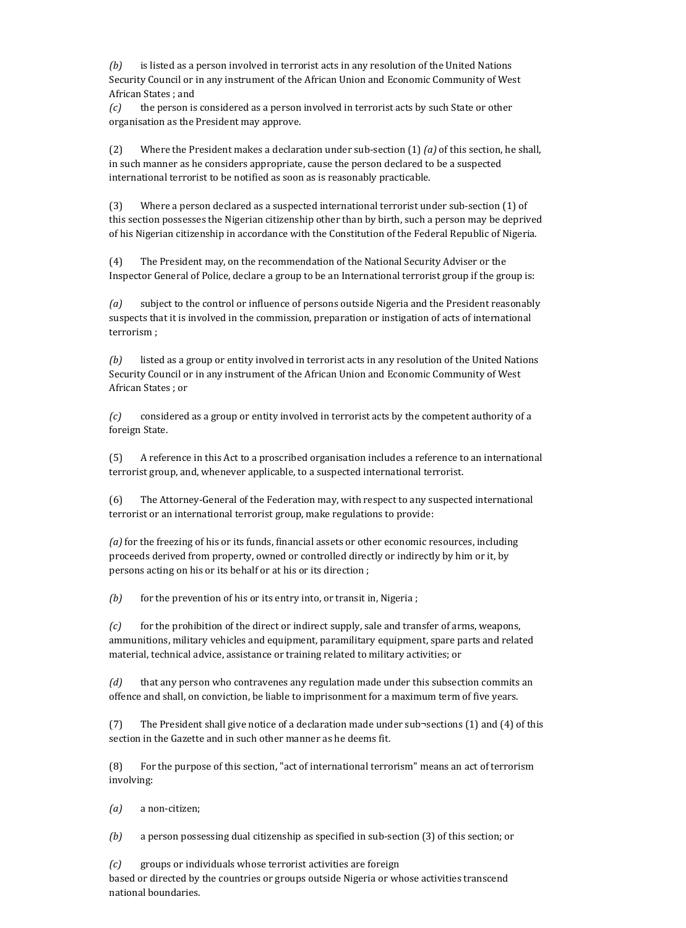*(b)* is listed as a person involved in terrorist acts in any resolution of the United Nations Security Council or in any instrument of the African Union and Economic Community of West African States ; and

*(c)* the person is considered as a person involved in terrorist acts by such State or other organisation as the President may approve.

(2) Where the President makes a declaration under sub-section (1) *(a)* of this section, he shall, in such manner as he considers appropriate, cause the person declared to be a suspected international terrorist to be notified as soon as is reasonably practicable.

(3) Where a person declared as a suspected international terrorist under sub-section (1) of this section possesses the Nigerian citizenship other than by birth, such a person may be deprived of his Nigerian citizenship in accordance with the Constitution of the Federal Republic of Nigeria.

(4) The President may, on the recommendation of the National Security Adviser or the Inspector General of Police, declare a group to be an International terrorist group if the group is:

*(a)* subject to the control or influence of persons outside Nigeria and the President reasonably suspects that it is involved in the commission, preparation or instigation of acts of international terrorism ;

*(b)* listed as a group or entity involved in terrorist acts in any resolution of the United Nations Security Council or in any instrument of the African Union and Economic Community of West African States ; or

*(c)* considered as a group or entity involved in terrorist acts by the competent authority of a foreign State.

(5) A reference in this Act to a proscribed organisation includes a reference to an international terrorist group, and, whenever applicable, to a suspected international terrorist.

(6) The Attorney-General of the Federation may, with respect to any suspected international terrorist or an international terrorist group, make regulations to provide:

*(a)* for the freezing of his or its funds, financial assets or other economic resources, including proceeds derived from property, owned or controlled directly or indirectly by him or it, by persons acting on his or its behalf or at his or its direction ;

*(b)* for the prevention of his or its entry into, or transit in, Nigeria ;

*(c)* for the prohibition of the direct or indirect supply, sale and transfer of arms, weapons, ammunitions, military vehicles and equipment, paramilitary equipment, spare parts and related material, technical advice, assistance or training related to military activities; or

*(d)* that any person who contravenes any regulation made under this subsection commits an offence and shall, on conviction, be liable to imprisonment for a maximum term of five years.

(7) The President shall give notice of a declaration made under sub¬sections (1) and (4) of this section in the Gazette and in such other manner as he deems fit.

(8) For the purpose of this section, "act of international terrorism" means an act of terrorism involving:

*(a)* a non-citizen;

*(b)* a person possessing dual citizenship as specified in sub-section (3) of this section; or

*(c)* groups or individuals whose terrorist activities are foreign

based or directed by the countries or groups outside Nigeria or whose activities transcend national boundaries.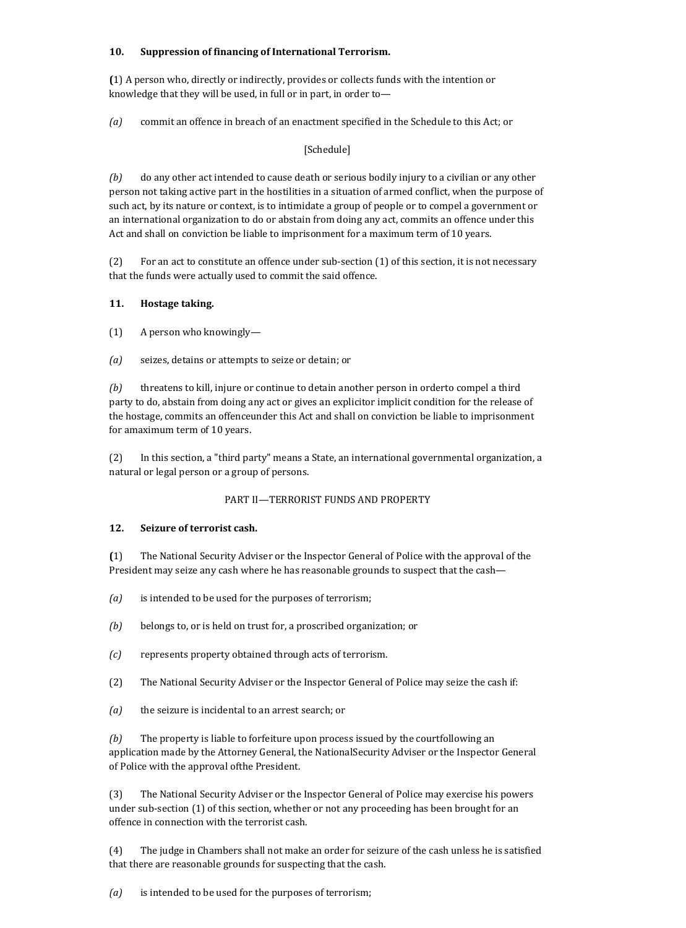## **10. Suppression of financing of International Terrorism.**

**(**1) A person who, directly or indirectly, provides or collects funds with the intention or knowledge that they will be used, in full or in part, in order to—

*(a)* commit an offence in breach of an enactment specified in the Schedule to this Act; or

## [Schedule]

*(b)* do any other act intended to cause death or serious bodily injury to a civilian or any other person not taking active part in the hostilities in a situation of armed conflict, when the purpose of such act, by its nature or context, is to intimidate a group of people or to compel a government or an international organization to do or abstain from doing any act, commits an offence under this Act and shall on conviction be liable to imprisonment for a maximum term of 10 years.

(2) For an act to constitute an offence under sub-section (1) of this section, it is not necessary that the funds were actually used to commit the said offence.

## **11. Hostage taking.**

(1) A person who knowingly—

*(a)* seizes, detains or attempts to seize or detain; or

*(b)* threatens to kill, injure or continue to detain another person in orderto compel a third party to do, abstain from doing any act or gives an explicitor implicit condition for the release of the hostage, commits an offenceunder this Act and shall on conviction be liable to imprisonment for amaximum term of 10 years.

(2) In this section, a "third party" means a State, an international governmental organization, a natural or legal person or a group of persons.

# PART II—TERRORIST FUNDS AND PROPERTY

## **12. Seizure of terrorist cash.**

**(**1) The National Security Adviser or the Inspector General of Police with the approval of the President may seize any cash where he has reasonable grounds to suspect that the cash—

*(a)* is intended to be used for the purposes of terrorism;

*(b)* belongs to, or is held on trust for, a proscribed organization; or

- *(c)* represents property obtained through acts of terrorism.
- (2) The National Security Adviser or the Inspector General of Police may seize the cash if:
- *(a)* the seizure is incidental to an arrest search; or

*(b)* The property is liable to forfeiture upon process issued by the courtfollowing an application made by the Attorney General, the NationalSecurity Adviser or the Inspector General of Police with the approval ofthe President.

(3) The National Security Adviser or the Inspector General of Police may exercise his powers under sub-section (1) of this section, whether or not any proceeding has been brought for an offence in connection with the terrorist cash.

(4) The judge in Chambers shall not make an order for seizure of the cash unless he is satisfied that there are reasonable grounds for suspecting that the cash.

*(a)* is intended to be used for the purposes of terrorism;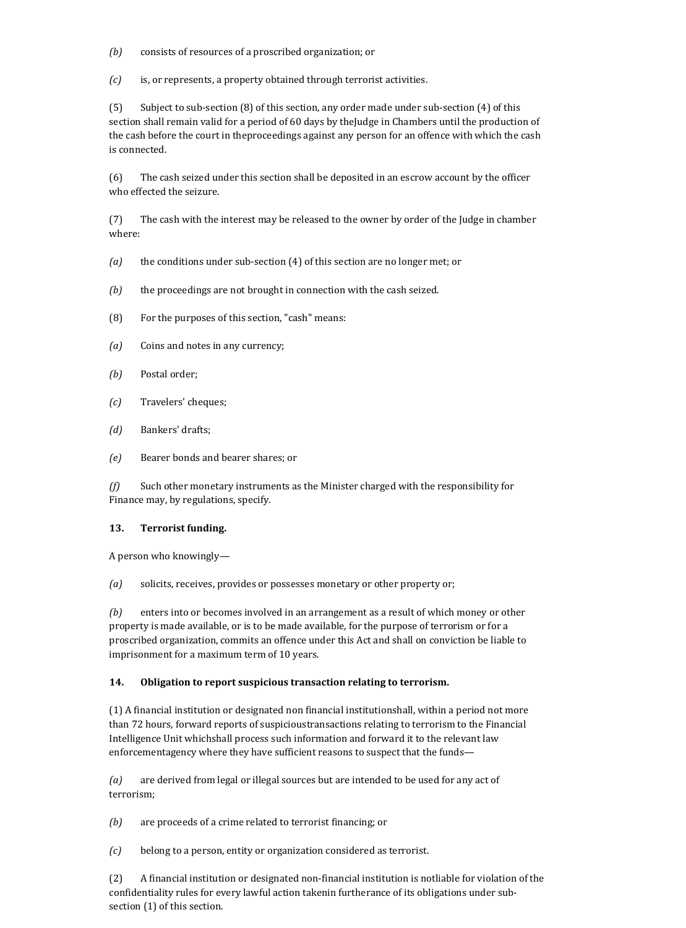*(b)* consists of resources of a proscribed organization; or

*(c)* is, or represents, a property obtained through terrorist activities.

(5) Subject to sub-section (8) of this section, any order made under sub-section (4) of this section shall remain valid for a period of 60 days by theJudge in Chambers until the production of the cash before the court in theproceedings against any person for an offence with which the cash is connected.

(6) The cash seized under this section shall be deposited in an escrow account by the officer who effected the seizure.

(7) The cash with the interest may be released to the owner by order of the Judge in chamber where:

*(a)* the conditions under sub-section (4) of this section are no longer met; or

- *(b)* the proceedings are not brought in connection with the cash seized.
- (8) For the purposes of this section, "cash" means:
- *(a)* Coins and notes in any currency;
- *(b)* Postal order;
- *(c)* Travelers' cheques;
- *(d)* Bankers' drafts;
- *(e)* Bearer bonds and bearer shares; or

*(f)* Such other monetary instruments as the Minister charged with the responsibility for Finance may, by regulations, specify.

## **13. Terrorist funding.**

A person who knowingly—

*(a)* solicits, receives, provides or possesses monetary or other property or;

*(b)* enters into or becomes involved in an arrangement as a result of which money or other property is made available, or is to be made available, for the purpose of terrorism or for a proscribed organization, commits an offence under this Act and shall on conviction be liable to imprisonment for a maximum term of 10 years.

## **14. Obligation to report suspicious transaction relating to terrorism.**

(1) A financial institution or designated non financial institutionshall, within a period not more than 72 hours, forward reports of suspicioustransactions relating to terrorism to the Financial Intelligence Unit whichshall process such information and forward it to the relevant law enforcementagency where they have sufficient reasons to suspect that the funds—

*(a)* are derived from legal or illegal sources but are intended to be used for any act of terrorism;

*(b)* are proceeds of a crime related to terrorist financing; or

*(c)* belong to a person, entity or organization considered as terrorist.

(2) A financial institution or designated non-financial institution is notliable for violation of the confidentiality rules for every lawful action takenin furtherance of its obligations under subsection  $(1)$  of this section.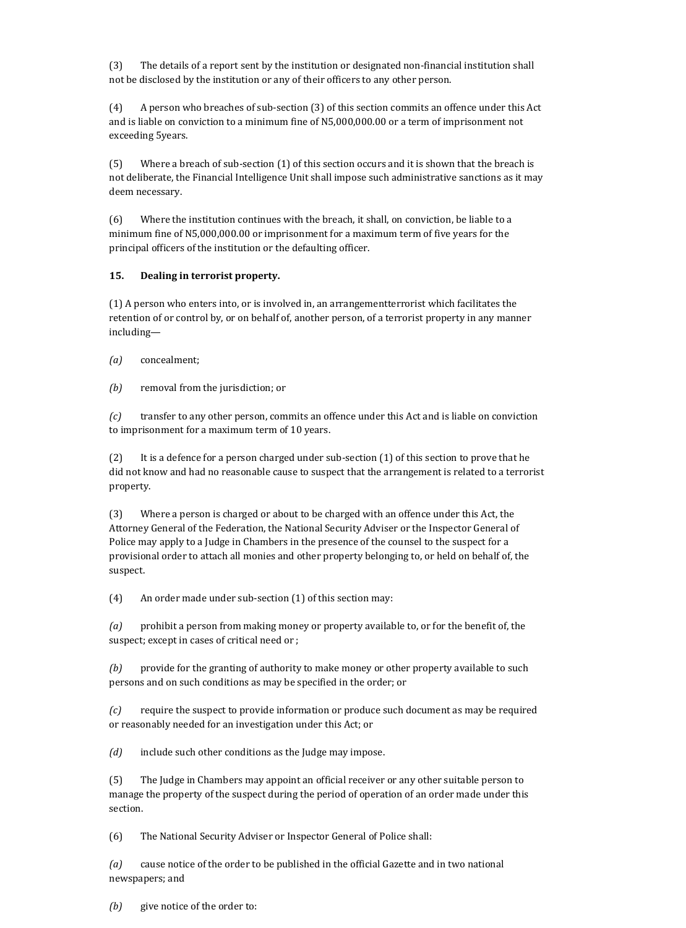(3) The details of a report sent by the institution or designated non-financial institution shall not be disclosed by the institution or any of their officers to any other person.

(4) A person who breaches of sub-section (3) of this section commits an offence under this Act and is liable on conviction to a minimum fine of N5,000,000.00 or a term of imprisonment not exceeding 5years.

(5) Where a breach of sub-section (1) of this section occurs and it is shown that the breach is not deliberate, the Financial Intelligence Unit shall impose such administrative sanctions as it may deem necessary.

(6) Where the institution continues with the breach, it shall, on conviction, be liable to a minimum fine of N5,000,000.00 or imprisonment for a maximum term of five years for the principal officers of the institution or the defaulting officer.

## **15. Dealing in terrorist property.**

(1) A person who enters into, or is involved in, an arrangementterrorist which facilitates the retention of or control by, or on behalf of, another person, of a terrorist property in any manner including—

*(a)* concealment;

*(b)* removal from the jurisdiction; or

*(c)* transfer to any other person, commits an offence under this Act and is liable on conviction to imprisonment for a maximum term of 10 years.

(2) It is a defence for a person charged under sub-section (1) of this section to prove that he did not know and had no reasonable cause to suspect that the arrangement is related to a terrorist property.

(3) Where a person is charged or about to be charged with an offence under this Act, the Attorney General of the Federation, the National Security Adviser or the Inspector General of Police may apply to a Judge in Chambers in the presence of the counsel to the suspect for a provisional order to attach all monies and other property belonging to, or held on behalf of, the suspect.

(4) An order made under sub-section (1) of this section may:

*(a)* prohibit a person from making money or property available to, or for the benefit of, the suspect; except in cases of critical need or ;

*(b)* provide for the granting of authority to make money or other property available to such persons and on such conditions as may be specified in the order; or

*(c)* require the suspect to provide information or produce such document as may be required or reasonably needed for an investigation under this Act; or

*(d)* include such other conditions as the Judge may impose.

The Judge in Chambers may appoint an official receiver or any other suitable person to manage the property of the suspect during the period of operation of an order made under this section.

(6) The National Security Adviser or Inspector General of Police shall:

*(a)* cause notice of the order to be published in the official Gazette and in two national newspapers; and

*(b)* give notice of the order to: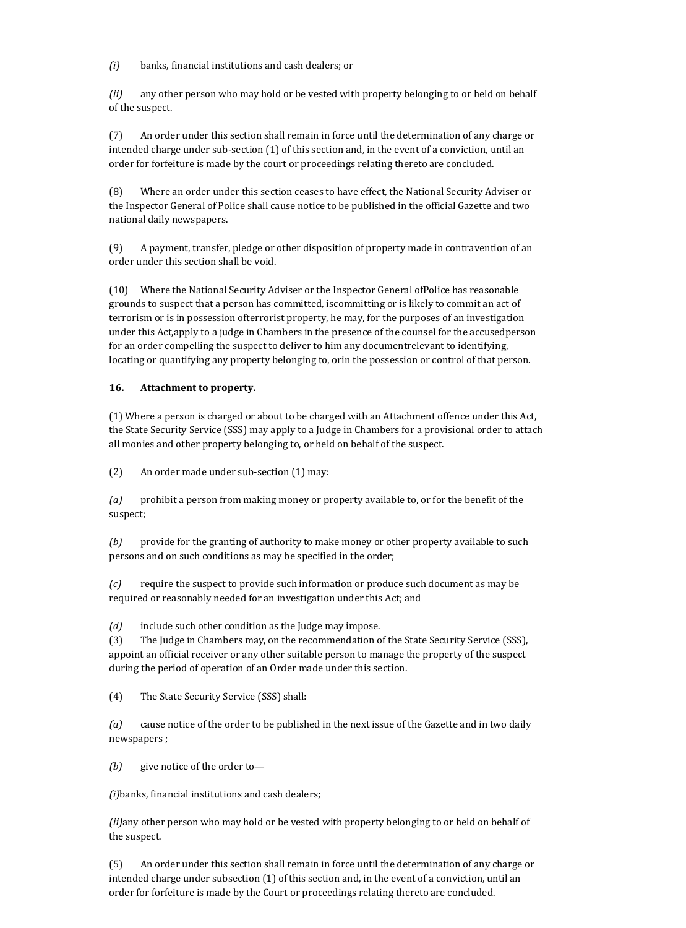*(i)* banks, financial institutions and cash dealers; or

*(ii)* any other person who may hold or be vested with property belonging to or held on behalf of the suspect.

(7) An order under this section shall remain in force until the determination of any charge or intended charge under sub-section (1) of this section and, in the event of a conviction, until an order for forfeiture is made by the court or proceedings relating thereto are concluded.

(8) Where an order under this section ceases to have effect, the National Security Adviser or the Inspector General of Police shall cause notice to be published in the official Gazette and two national daily newspapers.

(9) A payment, transfer, pledge or other disposition of property made in contravention of an order under this section shall be void.

(10) Where the National Security Adviser or the Inspector General ofPolice has reasonable grounds to suspect that a person has committed, iscommitting or is likely to commit an act of terrorism or is in possession ofterrorist property, he may, for the purposes of an investigation under this Act,apply to a judge in Chambers in the presence of the counsel for the accusedperson for an order compelling the suspect to deliver to him any documentrelevant to identifying, locating or quantifying any property belonging to, orin the possession or control of that person.

## **16. Attachment to property.**

(1) Where a person is charged or about to be charged with an Attachment offence under this Act, the State Security Service (SSS) may apply to a Judge in Chambers for a provisional order to attach all monies and other property belonging to, or held on behalf of the suspect.

(2) An order made under sub-section (1) may:

*(a)* prohibit a person from making money or property available to, or for the benefit of the suspect;

*(b)* provide for the granting of authority to make money or other property available to such persons and on such conditions as may be specified in the order;

*(c)* require the suspect to provide such information or produce such document as may be required or reasonably needed for an investigation under this Act; and

*(d)* include such other condition as the Judge may impose.

(3) The Judge in Chambers may, on the recommendation of the State Security Service (SSS), appoint an official receiver or any other suitable person to manage the property of the suspect during the period of operation of an Order made under this section.

(4) The State Security Service (SSS) shall:

*(a)* cause notice of the order to be published in the next issue of the Gazette and in two daily newspapers ;

*(b)* give notice of the order to—

*(i)*banks, financial institutions and cash dealers;

*(ii)*any other person who may hold or be vested with property belonging to or held on behalf of the suspect.

(5) An order under this section shall remain in force until the determination of any charge or intended charge under subsection (1) of this section and, in the event of a conviction, until an order for forfeiture is made by the Court or proceedings relating thereto are concluded.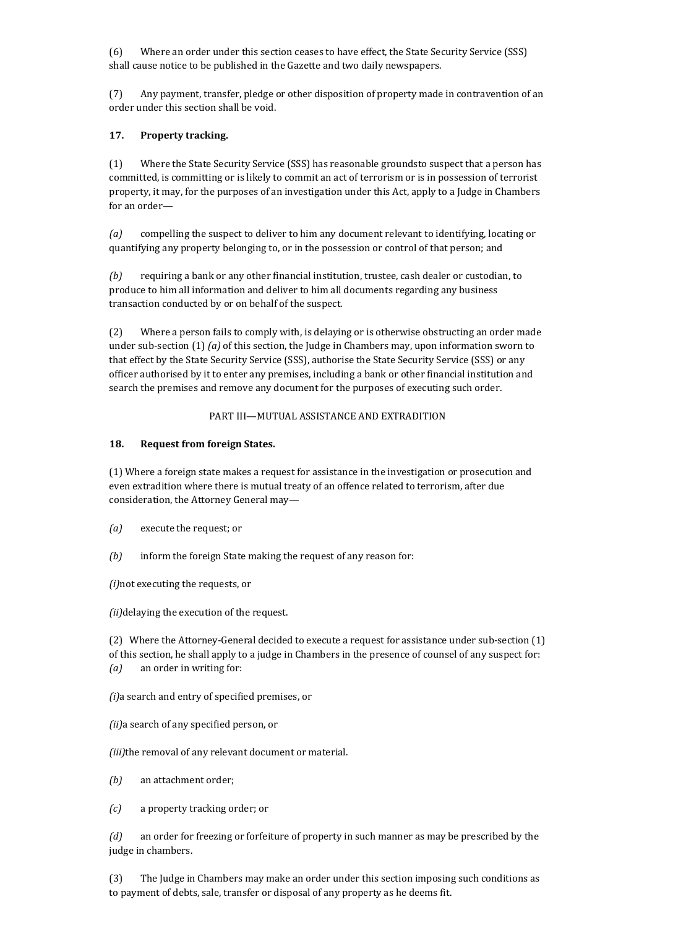(6) Where an order under this section ceases to have effect, the State Security Service (SSS) shall cause notice to be published in the Gazette and two daily newspapers.

(7) Any payment, transfer, pledge or other disposition of property made in contravention of an order under this section shall be void.

#### **17. Property tracking.**

(1) Where the State Security Service (SSS) has reasonable groundsto suspect that a person has committed, is committing or is likely to commit an act of terrorism or is in possession of terrorist property, it may, for the purposes of an investigation under this Act, apply to a Judge in Chambers for an order—

*(a)* compelling the suspect to deliver to him any document relevant to identifying, locating or quantifying any property belonging to, or in the possession or control of that person; and

*(b)* requiring a bank or any other financial institution, trustee, cash dealer or custodian, to produce to him all information and deliver to him all documents regarding any business transaction conducted by or on behalf of the suspect.

(2) Where a person fails to comply with, is delaying or is otherwise obstructing an order made under sub-section (1) *(a)* of this section, the Judge in Chambers may, upon information sworn to that effect by the State Security Service (SSS), authorise the State Security Service (SSS) or any officer authorised by it to enter any premises, including a bank or other financial institution and search the premises and remove any document for the purposes of executing such order.

#### PART III—MUTUAL ASSISTANCE AND EXTRADITION

#### **18. Request from foreign States.**

(1) Where a foreign state makes a request for assistance in the investigation or prosecution and even extradition where there is mutual treaty of an offence related to terrorism, after due consideration, the Attorney General may—

- *(a)* execute the request; or
- *(b)* inform the foreign State making the request of any reason for:

*(i)*not executing the requests, or

*(ii)*delaying the execution of the request.

(2) Where the Attorney-General decided to execute a request for assistance under sub-section (1) of this section, he shall apply to a judge in Chambers in the presence of counsel of any suspect for: *(a)* an order in writing for:

*(i)*a search and entry of specified premises, or

*(ii)*a search of any specified person, or

*(iii)*the removal of any relevant document or material.

*(b)* an attachment order;

*(c)* a property tracking order; or

*(d)* an order for freezing or forfeiture of property in such manner as may be prescribed by the judge in chambers.

(3) The Judge in Chambers may make an order under this section imposing such conditions as to payment of debts, sale, transfer or disposal of any property as he deems fit.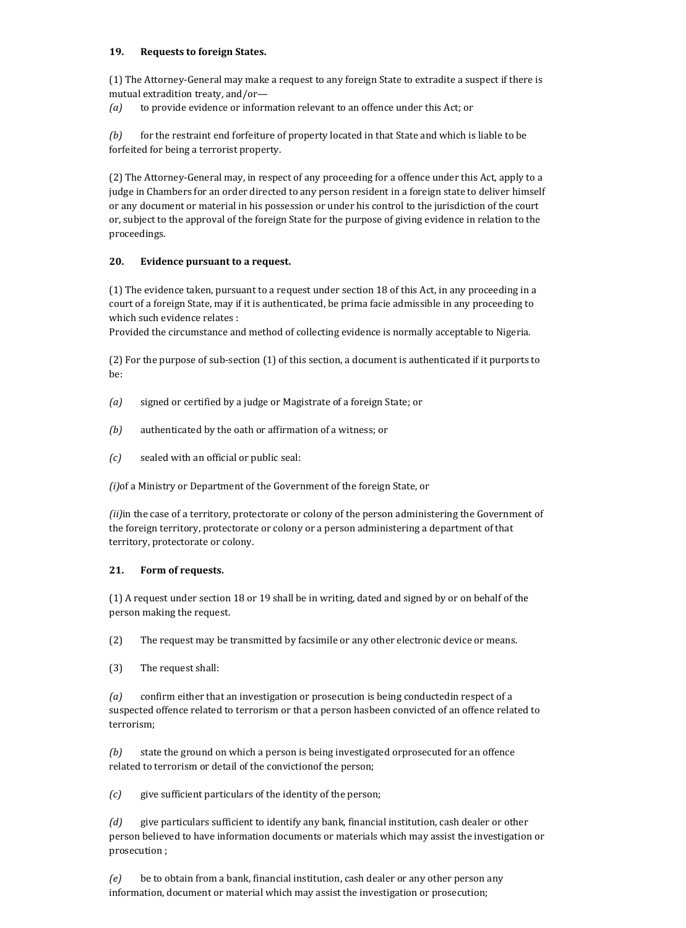## **19. Requests to foreign States.**

(1) The Attorney-General may make a request to any foreign State to extradite a suspect if there is mutual extradition treaty, and/or—

*(a)* to provide evidence or information relevant to an offence under this Act; or

*(b)* for the restraint end forfeiture of property located in that State and which is liable to be forfeited for being a terrorist property.

(2) The Attorney-General may, in respect of any proceeding for a offence under this Act, apply to a judge in Chambers for an order directed to any person resident in a foreign state to deliver himself or any document or material in his possession or under his control to the jurisdiction of the court or, subject to the approval of the foreign State for the purpose of giving evidence in relation to the proceedings.

# **20. Evidence pursuant to a request.**

(1) The evidence taken, pursuant to a request under section 18 of this Act, in any proceeding in a court of a foreign State, may if it is authenticated, be prima facie admissible in any proceeding to which such evidence relates :

Provided the circumstance and method of collecting evidence is normally acceptable to Nigeria.

(2) For the purpose of sub-section (1) of this section, a document is authenticated if it purports to be:

- *(a)* signed or certified by a judge or Magistrate of a foreign State; or
- *(b)* authenticated by the oath or affirmation of a witness; or
- *(c)* sealed with an official or public seal:

*(i)*of a Ministry or Department of the Government of the foreign State, or

*(ii)*in the case of a territory, protectorate or colony of the person administering the Government of the foreign territory, protectorate or colony or a person administering a department of that territory, protectorate or colony.

# **21. Form of requests.**

(1) A request under section 18 or 19 shall be in writing, dated and signed by or on behalf of the person making the request.

(2) The request may be transmitted by facsimile or any other electronic device or means.

(3) The request shall:

*(a)* confirm either that an investigation or prosecution is being conductedin respect of a suspected offence related to terrorism or that a person hasbeen convicted of an offence related to terrorism;

*(b)* state the ground on which a person is being investigated orprosecuted for an offence related to terrorism or detail of the convictionof the person;

*(c)* give sufficient particulars of the identity of the person;

*(d)* give particulars sufficient to identify any bank, financial institution, cash dealer or other person believed to have information documents or materials which may assist the investigation or prosecution ;

*(e)* be to obtain from a bank, financial institution, cash dealer or any other person any information, document or material which may assist the investigation or prosecution;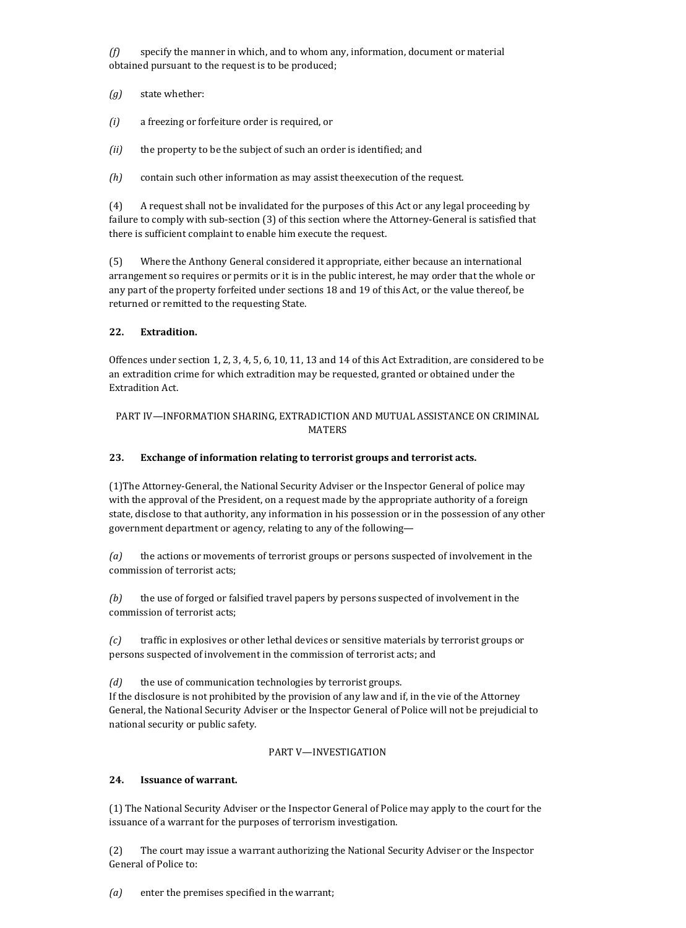*(f)* specify the manner in which, and to whom any, information, document or material obtained pursuant to the request is to be produced;

*(g)* state whether:

- *(i)* a freezing or forfeiture order is required, or
- *(ii)* the property to be the subject of such an order is identified; and
- *(h)* contain such other information as may assist theexecution of the request.

(4) A request shall not be invalidated for the purposes of this Act or any legal proceeding by failure to comply with sub-section (3) of this section where the Attorney-General is satisfied that there is sufficient complaint to enable him execute the request.

(5) Where the Anthony General considered it appropriate, either because an international arrangement so requires or permits or it is in the public interest, he may order that the whole or any part of the property forfeited under sections 18 and 19 of this Act, or the value thereof, be returned or remitted to the requesting State.

# **22. Extradition.**

Offences under section 1, 2, 3, 4, 5, 6, 10, 11, 13 and 14 of this Act Extradition, are considered to be an extradition crime for which extradition may be requested, granted or obtained under the Extradition Act.

## PART IV—INFORMATION SHARING, EXTRADICTION AND MUTUAL ASSISTANCE ON CRIMINAL MATERS

## **23. Exchange of information relating to terrorist groups and terrorist acts.**

(1)The Attorney-General, the National Security Adviser or the Inspector General of police may with the approval of the President, on a request made by the appropriate authority of a foreign state, disclose to that authority, any information in his possession or in the possession of any other government department or agency, relating to any of the following—

*(a)* the actions or movements of terrorist groups or persons suspected of involvement in the commission of terrorist acts;

*(b)* the use of forged or falsified travel papers by persons suspected of involvement in the commission of terrorist acts;

*(c)* traffic in explosives or other lethal devices or sensitive materials by terrorist groups or persons suspected of involvement in the commission of terrorist acts; and

*(d)* the use of communication technologies by terrorist groups. If the disclosure is not prohibited by the provision of any law and if, in the vie of the Attorney General, the National Security Adviser or the Inspector General of Police will not be prejudicial to national security or public safety.

# PART V—INVESTIGATION

# **24. Issuance of warrant.**

(1) The National Security Adviser or the Inspector General of Police may apply to the court for the issuance of a warrant for the purposes of terrorism investigation.

(2) The court may issue a warrant authorizing the National Security Adviser or the Inspector General of Police to:

*(a)* enter the premises specified in the warrant;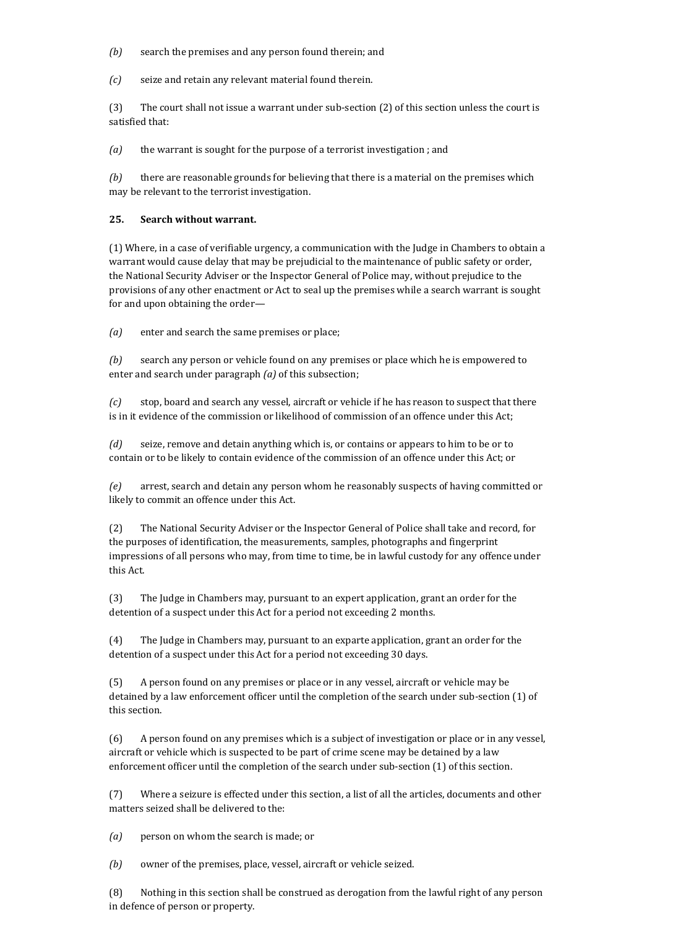*(b)* search the premises and any person found therein; and

*(c)* seize and retain any relevant material found therein.

(3) The court shall not issue a warrant under sub-section (2) of this section unless the court is satisfied that:

*(a)* the warrant is sought for the purpose of a terrorist investigation ; and

*(b)* there are reasonable grounds for believing that there is a material on the premises which may be relevant to the terrorist investigation.

## **25. Search without warrant.**

(1) Where, in a case of verifiable urgency, a communication with the Judge in Chambers to obtain a warrant would cause delay that may be prejudicial to the maintenance of public safety or order, the National Security Adviser or the Inspector General of Police may, without prejudice to the provisions of any other enactment or Act to seal up the premises while a search warrant is sought for and upon obtaining the order—

*(a)* enter and search the same premises or place;

*(b)* search any person or vehicle found on any premises or place which he is empowered to enter and search under paragraph *(a)* of this subsection;

*(c)* stop, board and search any vessel, aircraft or vehicle if he has reason to suspect that there is in it evidence of the commission or likelihood of commission of an offence under this Act;

*(d)* seize, remove and detain anything which is, or contains or appears to him to be or to contain or to be likely to contain evidence of the commission of an offence under this Act; or

*(e)* arrest, search and detain any person whom he reasonably suspects of having committed or likely to commit an offence under this Act.

(2) The National Security Adviser or the Inspector General of Police shall take and record, for the purposes of identification, the measurements, samples, photographs and fingerprint impressions of all persons who may, from time to time, be in lawful custody for any offence under this Act.

(3) The Judge in Chambers may, pursuant to an expert application, grant an order for the detention of a suspect under this Act for a period not exceeding 2 months.

(4) The Judge in Chambers may, pursuant to an exparte application, grant an order for the detention of a suspect under this Act for a period not exceeding 30 days.

(5) A person found on any premises or place or in any vessel, aircraft or vehicle may be detained by a law enforcement officer until the completion of the search under sub-section (1) of this section.

(6) A person found on any premises which is a subject of investigation or place or in any vessel, aircraft or vehicle which is suspected to be part of crime scene may be detained by a law enforcement officer until the completion of the search under sub-section (1) of this section.

(7) Where a seizure is effected under this section, a list of all the articles, documents and other matters seized shall be delivered to the:

*(a)* person on whom the search is made; or

*(b)* owner of the premises, place, vessel, aircraft or vehicle seized.

(8) Nothing in this section shall be construed as derogation from the lawful right of any person in defence of person or property.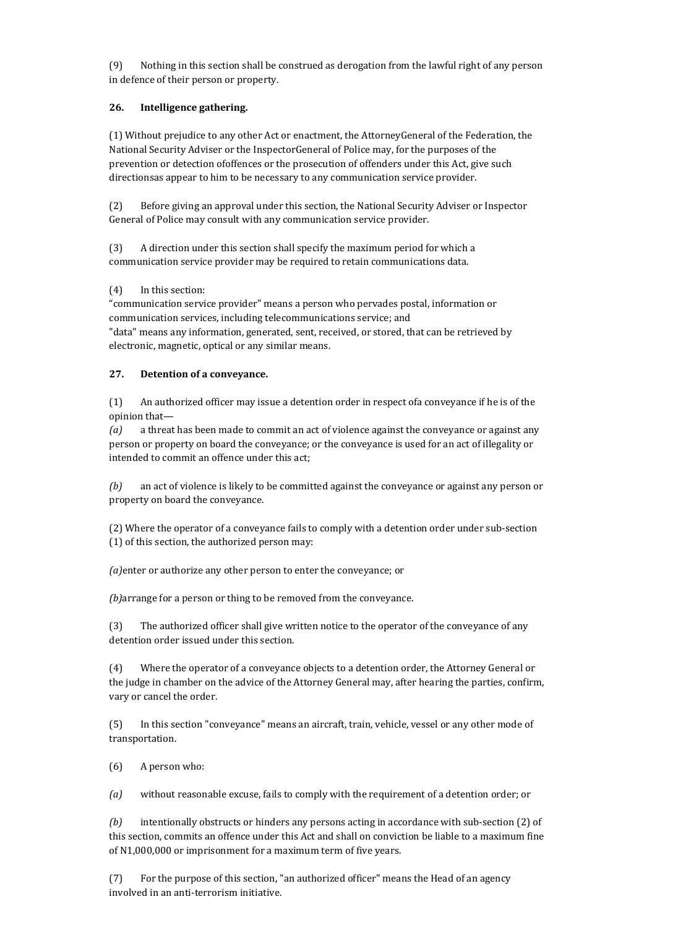(9) Nothing in this section shall be construed as derogation from the lawful right of any person in defence of their person or property.

## **26. Intelligence gathering.**

(1) Without prejudice to any other Act or enactment, the AttorneyGeneral of the Federation, the National Security Adviser or the InspectorGeneral of Police may, for the purposes of the prevention or detection ofoffences or the prosecution of offenders under this Act, give such directionsas appear to him to be necessary to any communication service provider.

(2) Before giving an approval under this section, the National Security Adviser or Inspector General of Police may consult with any communication service provider.

(3) A direction under this section shall specify the maximum period for which a communication service provider may be required to retain communications data.

## (4) In this section:

"communication service provider" means a person who pervades postal, information or communication services, including telecommunications service; and "data" means any information, generated, sent, received, or stored, that can be retrieved by electronic, magnetic, optical or any similar means.

## **27. Detention of a conveyance.**

(1) An authorized officer may issue a detention order in respect ofa conveyance if he is of the opinion that—

*(a)* a threat has been made to commit an act of violence against the conveyance or against any person or property on board the conveyance; or the conveyance is used for an act of illegality or intended to commit an offence under this act;

*(b)* an act of violence is likely to be committed against the conveyance or against any person or property on board the conveyance.

(2) Where the operator of a conveyance fails to comply with a detention order under sub-section (1) of this section, the authorized person may:

*(a)*enter or authorize any other person to enter the conveyance; or

*(b)*arrange for a person or thing to be removed from the conveyance.

(3) The authorized officer shall give written notice to the operator of the conveyance of any detention order issued under this section.

(4) Where the operator of a conveyance objects to a detention order, the Attorney General or the judge in chamber on the advice of the Attorney General may, after hearing the parties, confirm, vary or cancel the order.

(5) In this section "conveyance" means an aircraft, train, vehicle, vessel or any other mode of transportation.

(6) A person who:

*(a)* without reasonable excuse, fails to comply with the requirement of a detention order; or

*(b)* intentionally obstructs or hinders any persons acting in accordance with sub-section (2) of this section, commits an offence under this Act and shall on conviction be liable to a maximum fine of N1,000,000 or imprisonment for a maximum term of five years.

(7) For the purpose of this section, "an authorized officer" means the Head of an agency involved in an anti-terrorism initiative.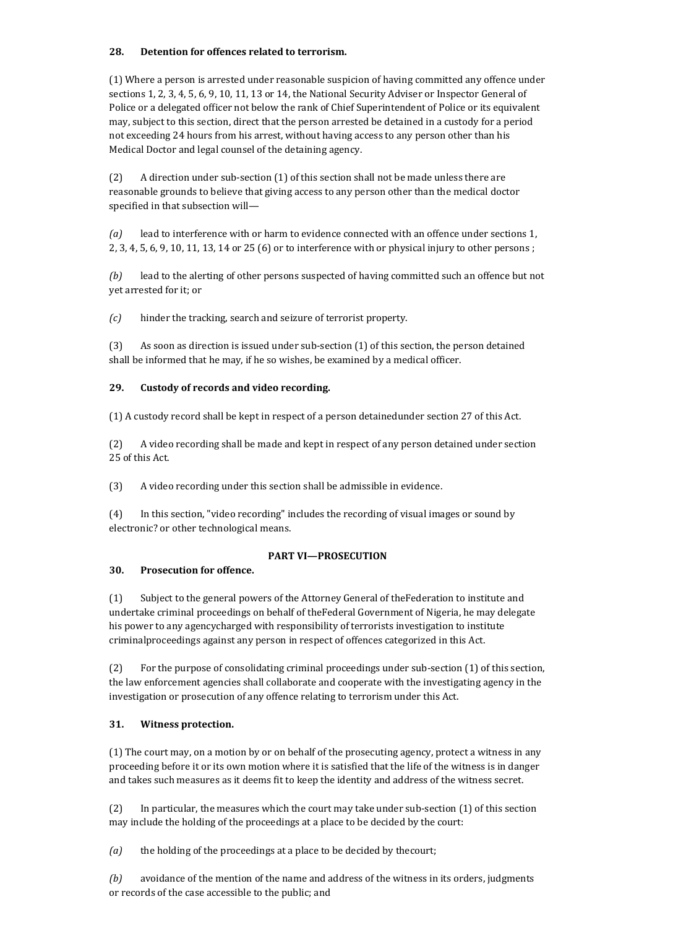## **28. Detention for offences related to terrorism.**

(1) Where a person is arrested under reasonable suspicion of having committed any offence under sections 1, 2, 3, 4, 5, 6, 9, 10, 11, 13 or 14, the National Security Adviser or Inspector General of Police or a delegated officer not below the rank of Chief Superintendent of Police or its equivalent may, subject to this section, direct that the person arrested be detained in a custody for a period not exceeding 24 hours from his arrest, without having access to any person other than his Medical Doctor and legal counsel of the detaining agency.

(2) A direction under sub-section (1) of this section shall not be made unless there are reasonable grounds to believe that giving access to any person other than the medical doctor specified in that subsection will—

*(a)* lead to interference with or harm to evidence connected with an offence under sections 1, 2, 3, 4, 5, 6, 9, 10, 11, 13, 14 or 25 (6) or to interference with or physical injury to other persons ;

*(b)* lead to the alerting of other persons suspected of having committed such an offence but not yet arrested for it; or

*(c)* hinder the tracking, search and seizure of terrorist property.

(3) As soon as direction is issued under sub-section (1) of this section, the person detained shall be informed that he may, if he so wishes, be examined by a medical officer.

## **29. Custody of records and video recording.**

(1) A custody record shall be kept in respect of a person detainedunder section 27 of this Act.

(2) A video recording shall be made and kept in respect of any person detained under section 25 of this Act.

(3) A video recording under this section shall be admissible in evidence.

(4) In this section, "video recording" includes the recording of visual images or sound by electronic? or other technological means.

## **PART VI—PROSECUTION**

## **30. Prosecution for offence.**

(1) Subject to the general powers of the Attorney General of theFederation to institute and undertake criminal proceedings on behalf of theFederal Government of Nigeria, he may delegate his power to any agencycharged with responsibility of terrorists investigation to institute criminalproceedings against any person in respect of offences categorized in this Act.

(2) For the purpose of consolidating criminal proceedings under sub-section (1) of this section, the law enforcement agencies shall collaborate and cooperate with the investigating agency in the investigation or prosecution of any offence relating to terrorism under this Act.

# **31. Witness protection.**

(1) The court may, on a motion by or on behalf of the prosecuting agency, protect a witness in any proceeding before it or its own motion where it is satisfied that the life of the witness is in danger and takes such measures as it deems fit to keep the identity and address of the witness secret.

(2) In particular, the measures which the court may take under sub-section (1) of this section may include the holding of the proceedings at a place to be decided by the court:

*(a)* the holding of the proceedings at a place to be decided by thecourt;

*(b)* avoidance of the mention of the name and address of the witness in its orders, judgments or records of the case accessible to the public; and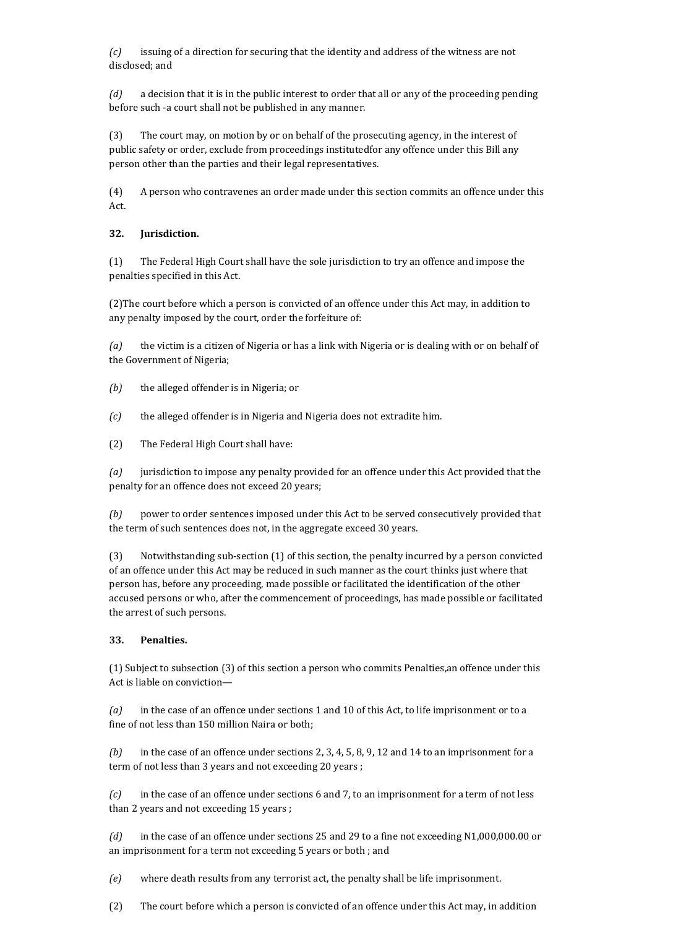*(c)* issuing of a direction for securing that the identity and address of the witness are not disclosed; and

*(d)* a decision that it is in the public interest to order that all or any of the proceeding pending before such -a court shall not be published in any manner.

(3) The court may, on motion by or on behalf of the prosecuting agency, in the interest of public safety or order, exclude from proceedings institutedfor any offence under this Bill any person other than the parties and their legal representatives.

(4) A person who contravenes an order made under this section commits an offence under this Act.

**32. Jurisdiction.**

(1) The Federal High Court shall have the sole jurisdiction to try an offence and impose the penalties specified in this Act.

(2)The court before which a person is convicted of an offence under this Act may, in addition to any penalty imposed by the court, order the forfeiture of:

*(a)* the victim is a citizen of Nigeria or has a link with Nigeria or is dealing with or on behalf of the Government of Nigeria;

*(b)* the alleged offender is in Nigeria; or

*(c)* the alleged offender is in Nigeria and Nigeria does not extradite him.

(2) The Federal High Court shall have:

*(a)* jurisdiction to impose any penalty provided for an offence under this Act provided that the penalty for an offence does not exceed 20 years;

*(b)* power to order sentences imposed under this Act to be served consecutively provided that the term of such sentences does not, in the aggregate exceed 30 years.

(3) Notwithstanding sub-section (1) of this section, the penalty incurred by a person convicted of an offence under this Act may be reduced in such manner as the court thinks just where that person has, before any proceeding, made possible or facilitated the identification of the other accused persons or who, after the commencement of proceedings, has made possible or facilitated the arrest of such persons.

#### **33. Penalties.**

(1) Subject to subsection (3) of this section a person who commits Penalties,an offence under this Act is liable on conviction—

*(a)* in the case of an offence under sections 1 and 10 of this Act, to life imprisonment or to a fine of not less than 150 million Naira or both;

*(b)* in the case of an offence under sections 2, 3, 4, 5, 8, 9, 12 and 14 to an imprisonment for a term of not less than 3 years and not exceeding 20 years ;

*(c)* in the case of an offence under sections 6 and 7, to an imprisonment for a term of not less than 2 years and not exceeding 15 years ;

*(d)* in the case of an offence under sections 25 and 29 to a fine not exceeding N1,000,000.00 or an imprisonment for a term not exceeding 5 years or both ; and

*(e)* where death results from any terrorist act, the penalty shall be life imprisonment.

(2) The court before which a person is convicted of an offence under this Act may, in addition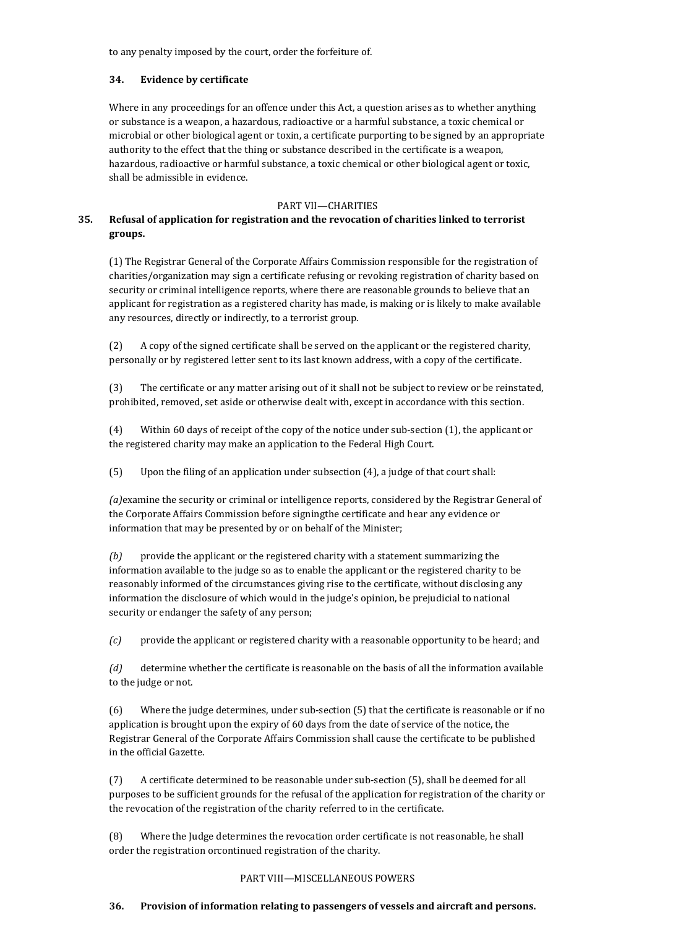to any penalty imposed by the court, order the forfeiture of.

## **34. Evidence by certificate**

Where in any proceedings for an offence under this Act, a question arises as to whether anything or substance is a weapon, a hazardous, radioactive or a harmful substance, a toxic chemical or microbial or other biological agent or toxin, a certificate purporting to be signed by an appropriate authority to the effect that the thing or substance described in the certificate is a weapon, hazardous, radioactive or harmful substance, a toxic chemical or other biological agent or toxic, shall be admissible in evidence.

## PART VII—CHARITIES

# **35. Refusal of application for registration and the revocation of charities linked to terrorist groups.**

(1) The Registrar General of the Corporate Affairs Commission responsible for the registration of charities/organization may sign a certificate refusing or revoking registration of charity based on security or criminal intelligence reports, where there are reasonable grounds to believe that an applicant for registration as a registered charity has made, is making or is likely to make available any resources, directly or indirectly, to a terrorist group.

(2) A copy of the signed certificate shall be served on the applicant or the registered charity, personally or by registered letter sent to its last known address, with a copy of the certificate.

(3) The certificate or any matter arising out of it shall not be subject to review or be reinstated, prohibited, removed, set aside or otherwise dealt with, except in accordance with this section.

(4) Within 60 days of receipt of the copy of the notice under sub-section (1), the applicant or the registered charity may make an application to the Federal High Court.

(5) Upon the filing of an application under subsection (4), a judge of that court shall:

*(a)*examine the security or criminal or intelligence reports, considered by the Registrar General of the Corporate Affairs Commission before signingthe certificate and hear any evidence or information that may be presented by or on behalf of the Minister;

*(b)* provide the applicant or the registered charity with a statement summarizing the information available to the judge so as to enable the applicant or the registered charity to be reasonably informed of the circumstances giving rise to the certificate, without disclosing any information the disclosure of which would in the judge's opinion, be prejudicial to national security or endanger the safety of any person;

*(c)* provide the applicant or registered charity with a reasonable opportunity to be heard; and

*(d)* determine whether the certificate is reasonable on the basis of all the information available to the judge or not.

(6) Where the judge determines, under sub-section (5) that the certificate is reasonable or if no application is brought upon the expiry of 60 days from the date of service of the notice, the Registrar General of the Corporate Affairs Commission shall cause the certificate to be published in the official Gazette.

A certificate determined to be reasonable under sub-section (5), shall be deemed for all purposes to be sufficient grounds for the refusal of the application for registration of the charity or the revocation of the registration of the charity referred to in the certificate.

(8) Where the Judge determines the revocation order certificate is not reasonable, he shall order the registration orcontinued registration of the charity.

## PART VIII—MISCELLANEOUS POWERS

## **36. Provision of information relating to passengers of vessels and aircraft and persons.**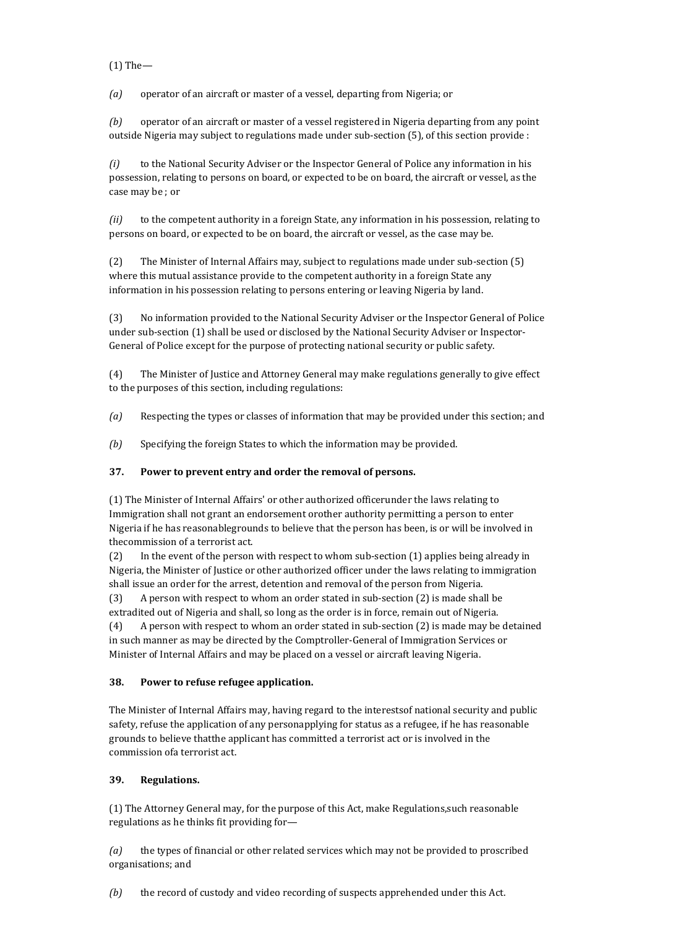(1) The—

*(a)* operator of an aircraft or master of a vessel, departing from Nigeria; or

*(b)* operator of an aircraft or master of a vessel registered in Nigeria departing from any point outside Nigeria may subject to regulations made under sub-section (5), of this section provide :

*(i)* to the National Security Adviser or the Inspector General of Police any information in his possession, relating to persons on board, or expected to be on board, the aircraft or vessel, as the case may be ; or

*(ii)* to the competent authority in a foreign State, any information in his possession, relating to persons on board, or expected to be on board, the aircraft or vessel, as the case may be.

(2) The Minister of Internal Affairs may, subject to regulations made under sub-section (5) where this mutual assistance provide to the competent authority in a foreign State any information in his possession relating to persons entering or leaving Nigeria by land.

(3) No information provided to the National Security Adviser or the Inspector General of Police under sub-section (1) shall be used or disclosed by the National Security Adviser or Inspector-General of Police except for the purpose of protecting national security or public safety.

(4) The Minister of Justice and Attorney General may make regulations generally to give effect to the purposes of this section, including regulations:

- *(a)* Respecting the types or classes of information that may be provided under this section; and
- *(b)* Specifying the foreign States to which the information may be provided.

## **37. Power to prevent entry and order the removal of persons.**

(1) The Minister of Internal Affairs' or other authorized officerunder the laws relating to Immigration shall not grant an endorsement orother authority permitting a person to enter Nigeria if he has reasonablegrounds to believe that the person has been, is or will be involved in thecommission of a terrorist act.

(2) In the event of the person with respect to whom sub-section (1) applies being already in Nigeria, the Minister of Justice or other authorized officer under the laws relating to immigration shall issue an order for the arrest, detention and removal of the person from Nigeria. (3) A person with respect to whom an order stated in sub-section (2) is made shall be extradited out of Nigeria and shall, so long as the order is in force, remain out of Nigeria. (4) A person with respect to whom an order stated in sub-section (2) is made may be detained in such manner as may be directed by the Comptroller-General of Immigration Services or Minister of Internal Affairs and may be placed on a vessel or aircraft leaving Nigeria.

## **38. Power to refuse refugee application.**

The Minister of Internal Affairs may, having regard to the interestsof national security and public safety, refuse the application of any personapplying for status as a refugee, if he has reasonable grounds to believe thatthe applicant has committed a terrorist act or is involved in the commission ofa terrorist act.

## **39. Regulations.**

(1) The Attorney General may, for the purpose of this Act, make Regulations,such reasonable regulations as he thinks fit providing for—

*(a)* the types of financial or other related services which may not be provided to proscribed organisations; and

*(b)* the record of custody and video recording of suspects apprehended under this Act.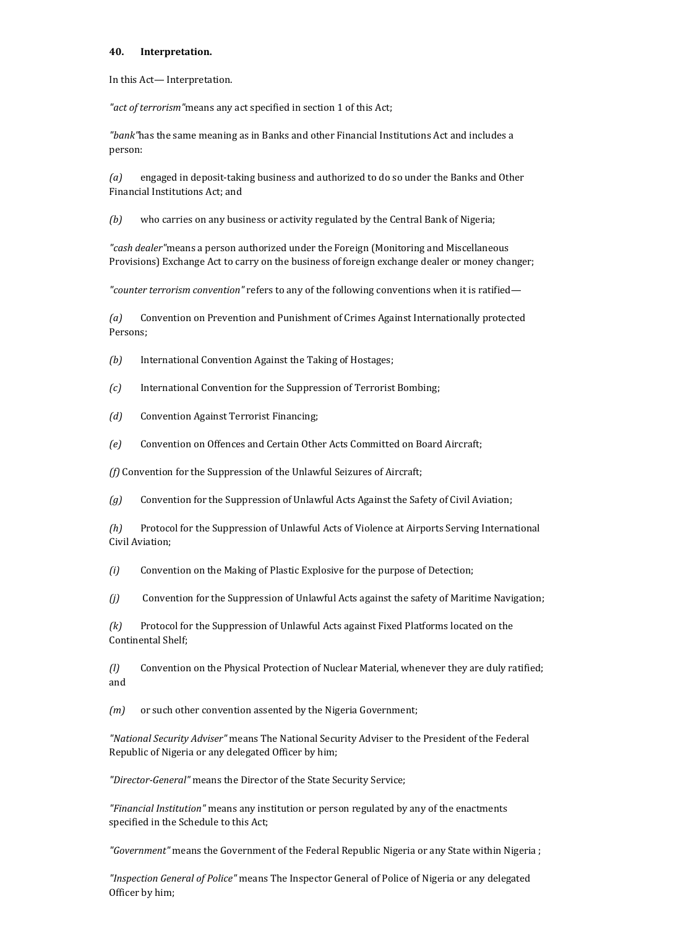#### **40. Interpretation.**

In this Act— Interpretation.

*"act of terrorism"*means any act specified in section 1 of this Act;

*"bank"*has the same meaning as in Banks and other Financial Institutions Act and includes a person:

*(a)* engaged in deposit-taking business and authorized to do so under the Banks and Other Financial Institutions Act; and

*(b)* who carries on any business or activity regulated by the Central Bank of Nigeria;

*"cash dealer"*means a person authorized under the Foreign (Monitoring and Miscellaneous Provisions) Exchange Act to carry on the business of foreign exchange dealer or money changer;

*"counter terrorism convention"* refers to any of the following conventions when it is ratified—

*(a)* Convention on Prevention and Punishment of Crimes Against Internationally protected Persons;

- *(b)* International Convention Against the Taking of Hostages;
- *(c)* International Convention for the Suppression of Terrorist Bombing;
- *(d)* Convention Against Terrorist Financing;
- *(e)* Convention on Offences and Certain Other Acts Committed on Board Aircraft;

*(f)* Convention for the Suppression of the Unlawful Seizures of Aircraft;

*(g)* Convention for the Suppression of Unlawful Acts Against the Safety of Civil Aviation;

*(h)* Protocol for the Suppression of Unlawful Acts of Violence at Airports Serving International Civil Aviation;

*(i)* Convention on the Making of Plastic Explosive for the purpose of Detection;

*(j)* Convention for the Suppression of Unlawful Acts against the safety of Maritime Navigation;

*(k)* Protocol for the Suppression of Unlawful Acts against Fixed Platforms located on the Continental Shelf;

*(l)* Convention on the Physical Protection of Nuclear Material, whenever they are duly ratified; and

*(m)* or such other convention assented by the Nigeria Government;

*"National Security Adviser"* means The National Security Adviser to the President of the Federal Republic of Nigeria or any delegated Officer by him;

*"Director-General"* means the Director of the State Security Service;

*"Financial Institution"* means any institution or person regulated by any of the enactments specified in the Schedule to this Act;

*"Government"* means the Government of the Federal Republic Nigeria or any State within Nigeria ;

*"Inspection General of Police"* means The Inspector General of Police of Nigeria or any delegated Officer by him;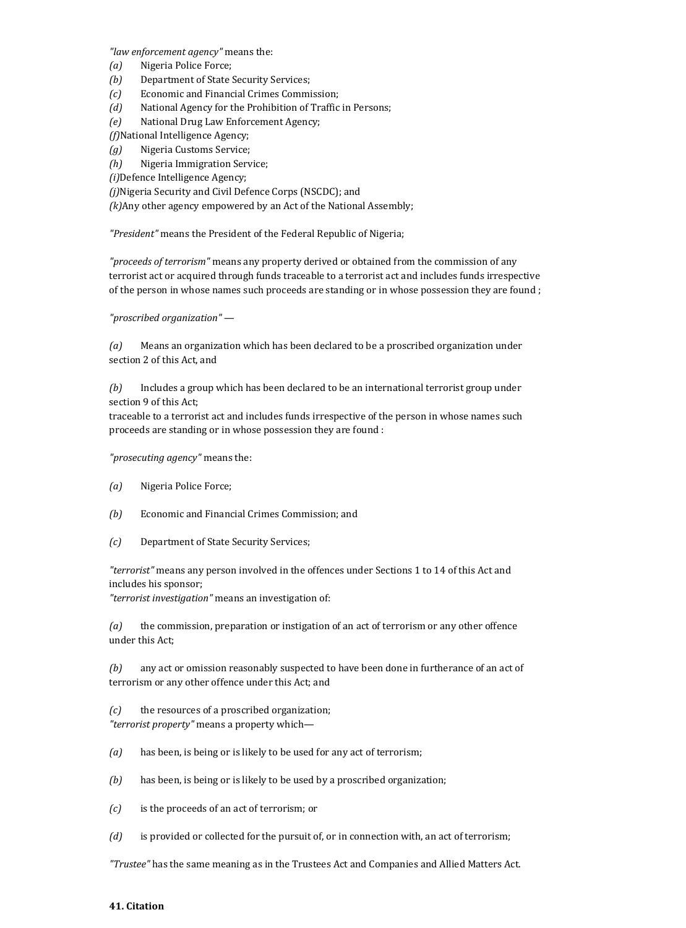*"law enforcement agency"* means the:

- *(a)* Nigeria Police Force;
- *(b)* Department of State Security Services;
- *(c)* Economic and Financial Crimes Commission;
- *(d)* National Agency for the Prohibition of Traffic in Persons;
- *(e)* National Drug Law Enforcement Agency;
- *(f)*National Intelligence Agency;
- *(g)* Nigeria Customs Service;
- *(h)* Nigeria Immigration Service;

*(i)*Defence Intelligence Agency;

*(j)*Nigeria Security and Civil Defence Corps (NSCDC); and

*(k)*Any other agency empowered by an Act of the National Assembly;

*"President"* means the President of the Federal Republic of Nigeria;

*"proceeds of terrorism"* means any property derived or obtained from the commission of any terrorist act or acquired through funds traceable to a terrorist act and includes funds irrespective of the person in whose names such proceeds are standing or in whose possession they are found ;

*"proscribed organization"* —

*(a)* Means an organization which has been declared to be a proscribed organization under section 2 of this Act, and

*(b)* Includes a group which has been declared to be an international terrorist group under section 9 of this Act;

traceable to a terrorist act and includes funds irrespective of the person in whose names such proceeds are standing or in whose possession they are found :

*"prosecuting agency"* means the:

- *(a)* Nigeria Police Force;
- *(b)* Economic and Financial Crimes Commission; and
- *(c)* Department of State Security Services;

*"terrorist"* means any person involved in the offences under Sections 1 to 14 of this Act and includes his sponsor;

*"terrorist investigation"* means an investigation of:

*(a)* the commission, preparation or instigation of an act of terrorism or any other offence under this Act;

*(b)* any act or omission reasonably suspected to have been done in furtherance of an act of terrorism or any other offence under this Act; and

*(c)* the resources of a proscribed organization; *"terrorist property"* means a property which—

- *(a)* has been, is being or is likely to be used for any act of terrorism;
- *(b)* has been, is being or is likely to be used by a proscribed organization;
- *(c)* is the proceeds of an act of terrorism; or
- *(d)* is provided or collected for the pursuit of, or in connection with, an act of terrorism;

*"Trustee"* has the same meaning as in the Trustees Act and Companies and Allied Matters Act.

#### **41. Citation**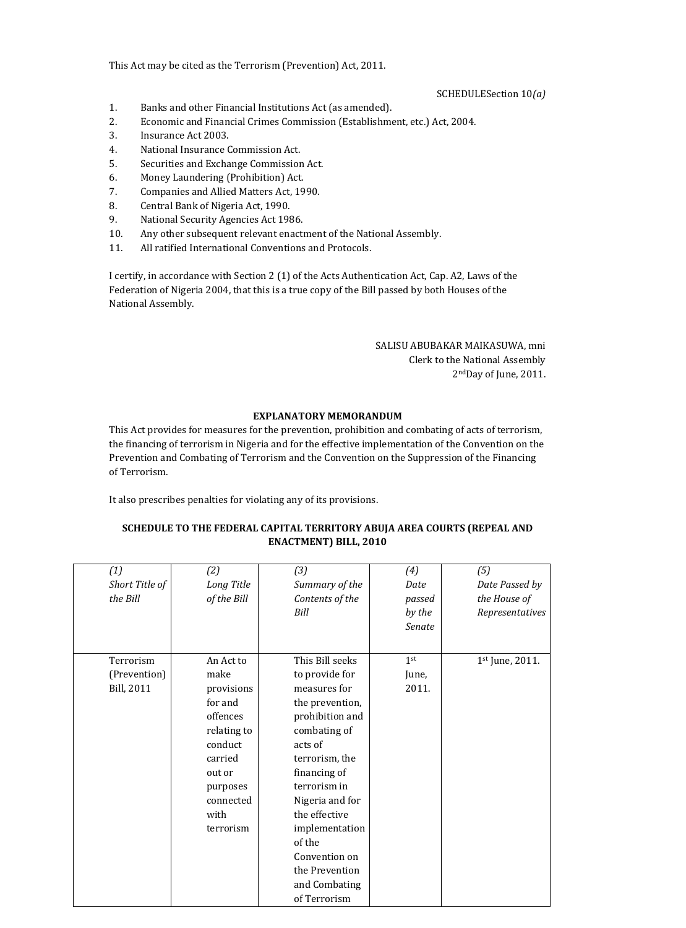This Act may be cited as the Terrorism (Prevention) Act, 2011.

## SCHEDULESection 10*(a)*

- 1. Banks and other Financial Institutions Act (as amended).
- 2. Economic and Financial Crimes Commission (Establishment, etc.) Act, 2004.
- 
- 3. Insurance Act 2003.<br>4. National Insurance C 4. National Insurance Commission Act.
- 5. Securities and Exchange Commission Act.
- 6. Money Laundering (Prohibition) Act.
- 7. Companies and Allied Matters Act, 1990.
- 8. Central Bank of Nigeria Act, 1990.
- 9. National Security Agencies Act 1986.
- 10. Any other subsequent relevant enactment of the National Assembly.
- 11. All ratified International Conventions and Protocols.

I certify, in accordance with Section 2 (1) of the Acts Authentication Act, Cap. A2, Laws of the Federation of Nigeria 2004, that this is a true copy of the Bill passed by both Houses of the National Assembly.

> SALISU ABUBAKAR MAIKASUWA, mni Clerk to the National Assembly 2ndDay of June, 2011.

## **EXPLANATORY MEMORANDUM**

This Act provides for measures for the prevention, prohibition and combating of acts of terrorism, the financing of terrorism in Nigeria and for the effective implementation of the Convention on the Prevention and Combating of Terrorism and the Convention on the Suppression of the Financing of Terrorism.

It also prescribes penalties for violating any of its provisions.

## **SCHEDULE TO THE FEDERAL CAPITAL TERRITORY ABUJA AREA COURTS (REPEAL AND ENACTMENT) BILL, 2010**

| (1)            | (2)         | $(3)$           | (4)             | (5)             |
|----------------|-------------|-----------------|-----------------|-----------------|
| Short Title of | Long Title  | Summary of the  | Date            | Date Passed by  |
| the Bill       | of the Bill | Contents of the | passed          | the House of    |
|                |             | Bill            | by the          | Representatives |
|                |             |                 | Senate          |                 |
|                |             |                 |                 |                 |
| Terrorism      | An Act to   | This Bill seeks | 1 <sup>st</sup> | 1st June, 2011. |
| (Prevention)   | make        | to provide for  | June,           |                 |
| Bill, 2011     | provisions  | measures for    | 2011.           |                 |
|                | for and     | the prevention, |                 |                 |
|                | offences    | prohibition and |                 |                 |
|                | relating to | combating of    |                 |                 |
|                | conduct     | acts of         |                 |                 |
|                | carried     | terrorism, the  |                 |                 |
|                | out or      | financing of    |                 |                 |
|                | purposes    | terrorism in    |                 |                 |
|                | connected   | Nigeria and for |                 |                 |
|                | with        | the effective   |                 |                 |
|                | terrorism   | implementation  |                 |                 |
|                |             | of the          |                 |                 |
|                |             | Convention on   |                 |                 |
|                |             | the Prevention  |                 |                 |
|                |             | and Combating   |                 |                 |
|                |             | of Terrorism    |                 |                 |